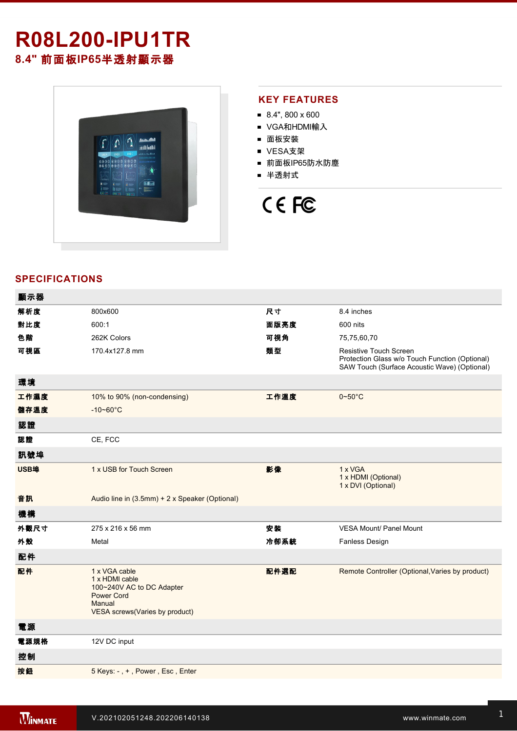## **R08L200IPU1TR 8.4"** 前面板**IP65**半透射顯示器

 $\langle \hat{\Gamma} | \hat{\Omega} | \hat{\Gamma} \rangle$  $|\Phi\>$ **Thuliad** 

### **KEY FEATURES**

- 8.4", 800 x 600
- VGA和HDMI輸入
- 面板安裝
- VESA支架
- 前面板IP65防水防塵
- 半透射式

# CE FC

### **SPECIFICATIONS**

| 顯示器  |                                                                                                                               |      |                                                                                                                                 |
|------|-------------------------------------------------------------------------------------------------------------------------------|------|---------------------------------------------------------------------------------------------------------------------------------|
| 解析度  | 800x600                                                                                                                       | 尺寸   | 8.4 inches                                                                                                                      |
| 對比度  | 600:1                                                                                                                         | 面版亮度 | 600 nits                                                                                                                        |
| 色階   | 262K Colors                                                                                                                   | 可視角  | 75,75,60,70                                                                                                                     |
| 可視區  | 170.4x127.8 mm                                                                                                                | 類型   | <b>Resistive Touch Screen</b><br>Protection Glass w/o Touch Function (Optional)<br>SAW Touch (Surface Acoustic Wave) (Optional) |
| 環境   |                                                                                                                               |      |                                                                                                                                 |
| 工作濕度 | 10% to 90% (non-condensing)                                                                                                   | 工作溫度 | $0 - 50$ °C                                                                                                                     |
| 儲存溫度 | $-10 - 60^{\circ}C$                                                                                                           |      |                                                                                                                                 |
| 認證   |                                                                                                                               |      |                                                                                                                                 |
| 認證   | CE, FCC                                                                                                                       |      |                                                                                                                                 |
| 訊號埠  |                                                                                                                               |      |                                                                                                                                 |
| USB埠 | 1 x USB for Touch Screen                                                                                                      | 影像   | 1 x VGA<br>1 x HDMI (Optional)<br>1 x DVI (Optional)                                                                            |
| 音訊   | Audio line in (3.5mm) + 2 x Speaker (Optional)                                                                                |      |                                                                                                                                 |
| 機構   |                                                                                                                               |      |                                                                                                                                 |
| 外觀尺寸 | 275 x 216 x 56 mm                                                                                                             | 安裝   | <b>VESA Mount/ Panel Mount</b>                                                                                                  |
| 外殼   | Metal                                                                                                                         | 冷卻系統 | <b>Fanless Design</b>                                                                                                           |
| 配件   |                                                                                                                               |      |                                                                                                                                 |
| 配件   | 1 x VGA cable<br>1 x HDMI cable<br>100~240V AC to DC Adapter<br><b>Power Cord</b><br>Manual<br>VESA screws(Varies by product) | 配件選配 | Remote Controller (Optional, Varies by product)                                                                                 |
| 電源   |                                                                                                                               |      |                                                                                                                                 |
| 電源規格 | 12V DC input                                                                                                                  |      |                                                                                                                                 |
| 控制   |                                                                                                                               |      |                                                                                                                                 |
| 按鈕   | 5 Keys: -, +, Power, Esc, Enter                                                                                               |      |                                                                                                                                 |
|      |                                                                                                                               |      |                                                                                                                                 |

**DIMENSIONS**  UNIT:MM